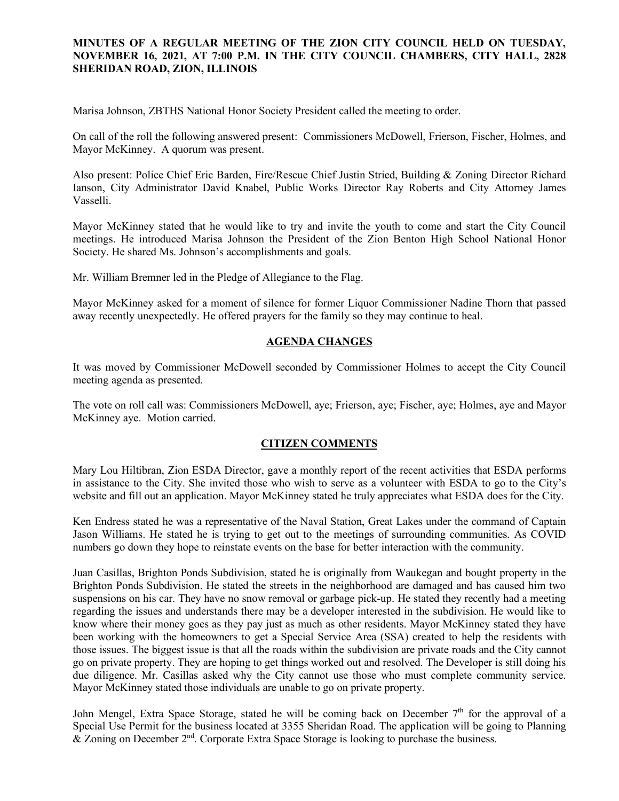#### **MINUTES OF A REGULAR MEETING OF THE ZION CITY COUNCIL HELD ON TUESDAY, NOVEMBER 16, 2021, AT 7:00 P.M. IN THE CITY COUNCIL CHAMBERS, CITY HALL, 2828 SHERIDAN ROAD, ZION, ILLINOIS**

#### 

Marisa Johnson, ZBTHS National Honor Society President called the meeting to order.

On call of the roll the following answered present: Commissioners McDowell, Frierson, Fischer, Holmes, and Mayor McKinney. A quorum was present.

Also present: Police Chief Eric Barden, Fire/Rescue Chief Justin Stried, Building & Zoning Director Richard Ianson, City Administrator David Knabel, Public Works Director Ray Roberts and City Attorney James Vasselli.

Mayor McKinney stated that he would like to try and invite the youth to come and start the City Council meetings. He introduced Marisa Johnson the President of the Zion Benton High School National Honor Society. He shared Ms. Johnson's accomplishments and goals.

Mr. William Bremner led in the Pledge of Allegiance to the Flag.

Mayor McKinney asked for a moment of silence for former Liquor Commissioner Nadine Thorn that passed away recently unexpectedly. He offered prayers for the family so they may continue to heal.

#### **AGENDA CHANGES**

It was moved by Commissioner McDowell seconded by Commissioner Holmes to accept the City Council meeting agenda as presented.

The vote on roll call was: Commissioners McDowell, aye; Frierson, aye; Fischer, aye; Holmes, aye and Mayor McKinney aye. Motion carried.

#### **CITIZEN COMMENTS**

Mary Lou Hiltibran, Zion ESDA Director, gave a monthly report of the recent activities that ESDA performs in assistance to the City. She invited those who wish to serve as a volunteer with ESDA to go to the City's website and fill out an application. Mayor McKinney stated he truly appreciates what ESDA does for the City.

Ken Endress stated he was a representative of the Naval Station, Great Lakes under the command of Captain Jason Williams. He stated he is trying to get out to the meetings of surrounding communities. As COVID numbers go down they hope to reinstate events on the base for better interaction with the community.

Juan Casillas, Brighton Ponds Subdivision, stated he is originally from Waukegan and bought property in the Brighton Ponds Subdivision. He stated the streets in the neighborhood are damaged and has caused him two suspensions on his car. They have no snow removal or garbage pick-up. He stated they recently had a meeting regarding the issues and understands there may be a developer interested in the subdivision. He would like to know where their money goes as they pay just as much as other residents. Mayor McKinney stated they have been working with the homeowners to get a Special Service Area (SSA) created to help the residents with those issues. The biggest issue is that all the roads within the subdivision are private roads and the City cannot go on private property. They are hoping to get things worked out and resolved. The Developer is still doing his due diligence. Mr. Casillas asked why the City cannot use those who must complete community service. Mayor McKinney stated those individuals are unable to go on private property.

John Mengel, Extra Space Storage, stated he will be coming back on December 7<sup>th</sup> for the approval of a Special Use Permit for the business located at 3355 Sheridan Road. The application will be going to Planning  $\&$  Zoning on December 2<sup>nd</sup>. Corporate Extra Space Storage is looking to purchase the business.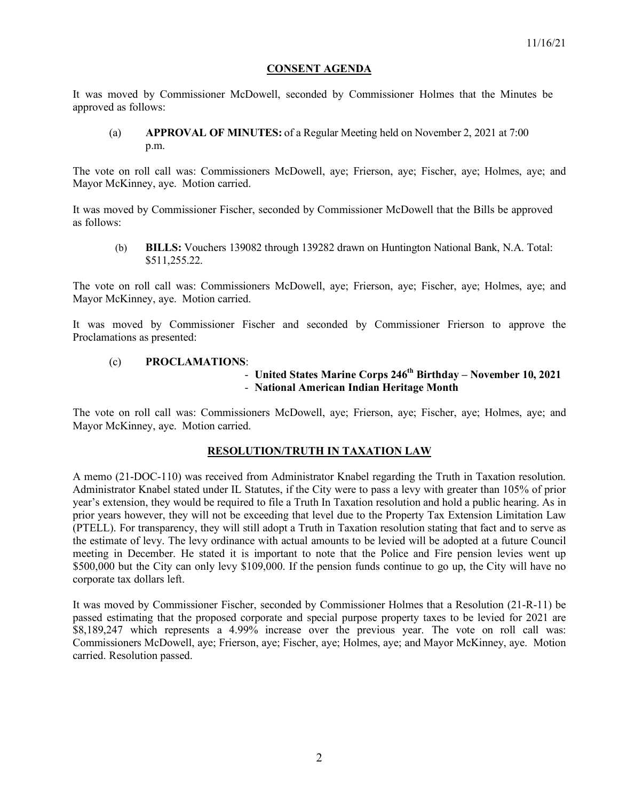#### **CONSENT AGENDA**

It was moved by Commissioner McDowell, seconded by Commissioner Holmes that the Minutes be approved as follows:

(a) **APPROVAL OF MINUTES:** of a Regular Meeting held on November 2, 2021 at 7:00 p.m.

The vote on roll call was: Commissioners McDowell, aye; Frierson, aye; Fischer, aye; Holmes, aye; and Mayor McKinney, aye. Motion carried.

It was moved by Commissioner Fischer, seconded by Commissioner McDowell that the Bills be approved as follows:

(b) **BILLS:** Vouchers 139082 through 139282 drawn on Huntington National Bank, N.A. Total: \$511,255.22.

The vote on roll call was: Commissioners McDowell, aye; Frierson, aye; Fischer, aye; Holmes, aye; and Mayor McKinney, aye. Motion carried.

It was moved by Commissioner Fischer and seconded by Commissioner Frierson to approve the Proclamations as presented:

#### (c) **PROCLAMATIONS**:

# - **United States Marine Corps 246th Birthday – November 10, 2021** - **National American Indian Heritage Month**

The vote on roll call was: Commissioners McDowell, aye; Frierson, aye; Fischer, aye; Holmes, aye; and Mayor McKinney, aye. Motion carried.

#### **RESOLUTION/TRUTH IN TAXATION LAW**

A memo (21-DOC-110) was received from Administrator Knabel regarding the Truth in Taxation resolution. Administrator Knabel stated under IL Statutes, if the City were to pass a levy with greater than 105% of prior year's extension, they would be required to file a Truth In Taxation resolution and hold a public hearing. As in prior years however, they will not be exceeding that level due to the Property Tax Extension Limitation Law (PTELL). For transparency, they will still adopt a Truth in Taxation resolution stating that fact and to serve as the estimate of levy. The levy ordinance with actual amounts to be levied will be adopted at a future Council meeting in December. He stated it is important to note that the Police and Fire pension levies went up \$500,000 but the City can only levy \$109,000. If the pension funds continue to go up, the City will have no corporate tax dollars left.

It was moved by Commissioner Fischer, seconded by Commissioner Holmes that a Resolution (21-R-11) be passed estimating that the proposed corporate and special purpose property taxes to be levied for 2021 are \$8,189,247 which represents a 4.99% increase over the previous year. The vote on roll call was: Commissioners McDowell, aye; Frierson, aye; Fischer, aye; Holmes, aye; and Mayor McKinney, aye. Motion carried. Resolution passed.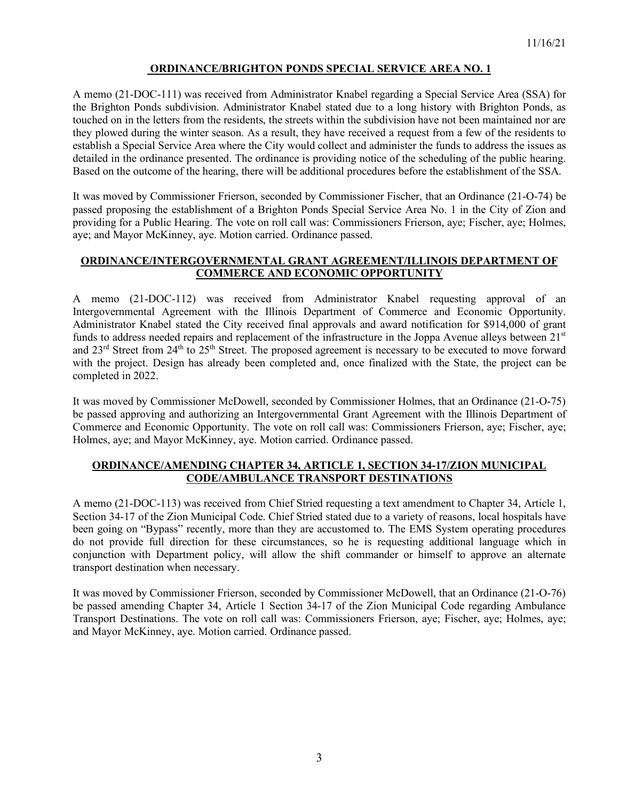### **ORDINANCE/BRIGHTON PONDS SPECIAL SERVICE AREA NO. 1**

A memo (21-DOC-111) was received from Administrator Knabel regarding a Special Service Area (SSA) for the Brighton Ponds subdivision. Administrator Knabel stated due to a long history with Brighton Ponds, as touched on in the letters from the residents, the streets within the subdivision have not been maintained nor are they plowed during the winter season. As a result, they have received a request from a few of the residents to establish a Special Service Area where the City would collect and administer the funds to address the issues as detailed in the ordinance presented. The ordinance is providing notice of the scheduling of the public hearing. Based on the outcome of the hearing, there will be additional procedures before the establishment of the SSA.

It was moved by Commissioner Frierson, seconded by Commissioner Fischer, that an Ordinance (21-O-74) be passed proposing the establishment of a Brighton Ponds Special Service Area No. 1 in the City of Zion and providing for a Public Hearing. The vote on roll call was: Commissioners Frierson, aye; Fischer, aye; Holmes, aye; and Mayor McKinney, aye. Motion carried. Ordinance passed.

#### **ORDINANCE/INTERGOVERNMENTAL GRANT AGREEMENT/ILLINOIS DEPARTMENT OF COMMERCE AND ECONOMIC OPPORTUNITY**

A memo (21-DOC-112) was received from Administrator Knabel requesting approval of an Intergovernmental Agreement with the Illinois Department of Commerce and Economic Opportunity. Administrator Knabel stated the City received final approvals and award notification for \$914,000 of grant funds to address needed repairs and replacement of the infrastructure in the Joppa Avenue alleys between 21<sup>st</sup> and 23<sup>rd</sup> Street from 24<sup>th</sup> to 25<sup>th</sup> Street. The proposed agreement is necessary to be executed to move forward with the project. Design has already been completed and, once finalized with the State, the project can be completed in 2022.

It was moved by Commissioner McDowell, seconded by Commissioner Holmes, that an Ordinance (21-O-75) be passed approving and authorizing an Intergovernmental Grant Agreement with the Illinois Department of Commerce and Economic Opportunity. The vote on roll call was: Commissioners Frierson, aye; Fischer, aye; Holmes, aye; and Mayor McKinney, aye. Motion carried. Ordinance passed.

#### **ORDINANCE/AMENDING CHAPTER 34, ARTICLE 1, SECTION 34-17/ZION MUNICIPAL CODE/AMBULANCE TRANSPORT DESTINATIONS**

A memo (21-DOC-113) was received from Chief Stried requesting a text amendment to Chapter 34, Article 1, Section 34-17 of the Zion Municipal Code. Chief Stried stated due to a variety of reasons, local hospitals have been going on "Bypass" recently, more than they are accustomed to. The EMS System operating procedures do not provide full direction for these circumstances, so he is requesting additional language which in conjunction with Department policy, will allow the shift commander or himself to approve an alternate transport destination when necessary.

It was moved by Commissioner Frierson, seconded by Commissioner McDowell, that an Ordinance (21-O-76) be passed amending Chapter 34, Article 1 Section 34-17 of the Zion Municipal Code regarding Ambulance Transport Destinations. The vote on roll call was: Commissioners Frierson, aye; Fischer, aye; Holmes, aye; and Mayor McKinney, aye. Motion carried. Ordinance passed.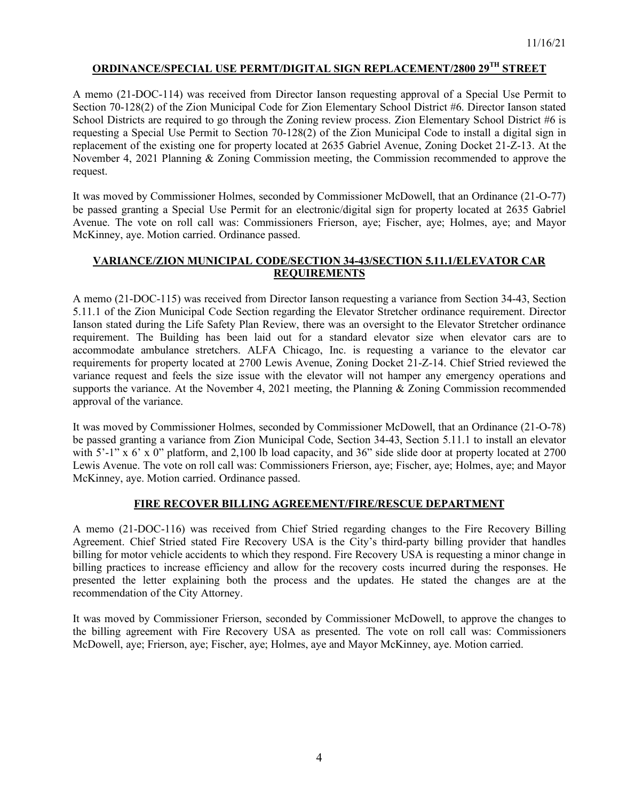# **ORDINANCE/SPECIAL USE PERMT/DIGITAL SIGN REPLACEMENT/2800 29TH STREET**

A memo (21-DOC-114) was received from Director Ianson requesting approval of a Special Use Permit to Section 70-128(2) of the Zion Municipal Code for Zion Elementary School District #6. Director Ianson stated School Districts are required to go through the Zoning review process. Zion Elementary School District #6 is requesting a Special Use Permit to Section 70-128(2) of the Zion Municipal Code to install a digital sign in replacement of the existing one for property located at 2635 Gabriel Avenue, Zoning Docket 21-Z-13. At the November 4, 2021 Planning & Zoning Commission meeting, the Commission recommended to approve the request.

It was moved by Commissioner Holmes, seconded by Commissioner McDowell, that an Ordinance (21-O-77) be passed granting a Special Use Permit for an electronic/digital sign for property located at 2635 Gabriel Avenue. The vote on roll call was: Commissioners Frierson, aye; Fischer, aye; Holmes, aye; and Mayor McKinney, aye. Motion carried. Ordinance passed.

### **VARIANCE/ZION MUNICIPAL CODE/SECTION 34-43/SECTION 5.11.1/ELEVATOR CAR REQUIREMENTS**

A memo (21-DOC-115) was received from Director Ianson requesting a variance from Section 34-43, Section 5.11.1 of the Zion Municipal Code Section regarding the Elevator Stretcher ordinance requirement. Director Ianson stated during the Life Safety Plan Review, there was an oversight to the Elevator Stretcher ordinance requirement. The Building has been laid out for a standard elevator size when elevator cars are to accommodate ambulance stretchers. ALFA Chicago, Inc. is requesting a variance to the elevator car requirements for property located at 2700 Lewis Avenue, Zoning Docket 21-Z-14. Chief Stried reviewed the variance request and feels the size issue with the elevator will not hamper any emergency operations and supports the variance. At the November 4, 2021 meeting, the Planning & Zoning Commission recommended approval of the variance.

It was moved by Commissioner Holmes, seconded by Commissioner McDowell, that an Ordinance (21-O-78) be passed granting a variance from Zion Municipal Code, Section 34-43, Section 5.11.1 to install an elevator with 5'-1" x 6' x 0" platform, and 2,100 lb load capacity, and 36" side slide door at property located at 2700 Lewis Avenue. The vote on roll call was: Commissioners Frierson, aye; Fischer, aye; Holmes, aye; and Mayor McKinney, aye. Motion carried. Ordinance passed.

# **FIRE RECOVER BILLING AGREEMENT/FIRE/RESCUE DEPARTMENT**

A memo (21-DOC-116) was received from Chief Stried regarding changes to the Fire Recovery Billing Agreement. Chief Stried stated Fire Recovery USA is the City's third-party billing provider that handles billing for motor vehicle accidents to which they respond. Fire Recovery USA is requesting a minor change in billing practices to increase efficiency and allow for the recovery costs incurred during the responses. He presented the letter explaining both the process and the updates. He stated the changes are at the recommendation of the City Attorney.

It was moved by Commissioner Frierson, seconded by Commissioner McDowell, to approve the changes to the billing agreement with Fire Recovery USA as presented. The vote on roll call was: Commissioners McDowell, aye; Frierson, aye; Fischer, aye; Holmes, aye and Mayor McKinney, aye. Motion carried.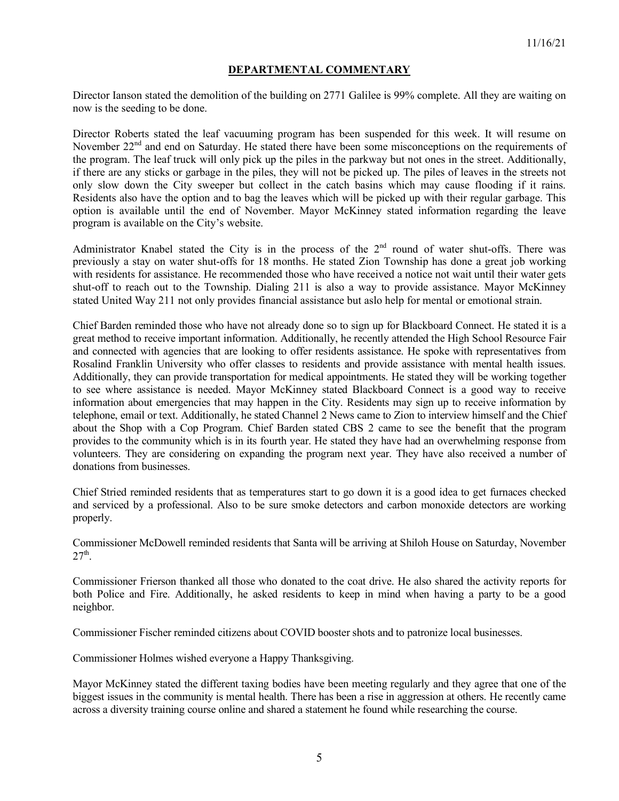### **DEPARTMENTAL COMMENTARY**

Director Ianson stated the demolition of the building on 2771 Galilee is 99% complete. All they are waiting on now is the seeding to be done.

Director Roberts stated the leaf vacuuming program has been suspended for this week. It will resume on November 22<sup>nd</sup> and end on Saturday. He stated there have been some misconceptions on the requirements of the program. The leaf truck will only pick up the piles in the parkway but not ones in the street. Additionally, if there are any sticks or garbage in the piles, they will not be picked up. The piles of leaves in the streets not only slow down the City sweeper but collect in the catch basins which may cause flooding if it rains. Residents also have the option and to bag the leaves which will be picked up with their regular garbage. This option is available until the end of November. Mayor McKinney stated information regarding the leave program is available on the City's website.

Administrator Knabel stated the City is in the process of the 2<sup>nd</sup> round of water shut-offs. There was previously a stay on water shut-offs for 18 months. He stated Zion Township has done a great job working with residents for assistance. He recommended those who have received a notice not wait until their water gets shut-off to reach out to the Township. Dialing 211 is also a way to provide assistance. Mayor McKinney stated United Way 211 not only provides financial assistance but aslo help for mental or emotional strain.

Chief Barden reminded those who have not already done so to sign up for Blackboard Connect. He stated it is a great method to receive important information. Additionally, he recently attended the High School Resource Fair and connected with agencies that are looking to offer residents assistance. He spoke with representatives from Rosalind Franklin University who offer classes to residents and provide assistance with mental health issues. Additionally, they can provide transportation for medical appointments. He stated they will be working together to see where assistance is needed. Mayor McKinney stated Blackboard Connect is a good way to receive information about emergencies that may happen in the City. Residents may sign up to receive information by telephone, email or text. Additionally, he stated Channel 2 News came to Zion to interview himself and the Chief about the Shop with a Cop Program. Chief Barden stated CBS 2 came to see the benefit that the program provides to the community which is in its fourth year. He stated they have had an overwhelming response from volunteers. They are considering on expanding the program next year. They have also received a number of donations from businesses.

Chief Stried reminded residents that as temperatures start to go down it is a good idea to get furnaces checked and serviced by a professional. Also to be sure smoke detectors and carbon monoxide detectors are working properly.

Commissioner McDowell reminded residents that Santa will be arriving at Shiloh House on Saturday, November  $27<sup>th</sup>$ .

Commissioner Frierson thanked all those who donated to the coat drive. He also shared the activity reports for both Police and Fire. Additionally, he asked residents to keep in mind when having a party to be a good neighbor.

Commissioner Fischer reminded citizens about COVID booster shots and to patronize local businesses.

Commissioner Holmes wished everyone a Happy Thanksgiving.

Mayor McKinney stated the different taxing bodies have been meeting regularly and they agree that one of the biggest issues in the community is mental health. There has been a rise in aggression at others. He recently came across a diversity training course online and shared a statement he found while researching the course.